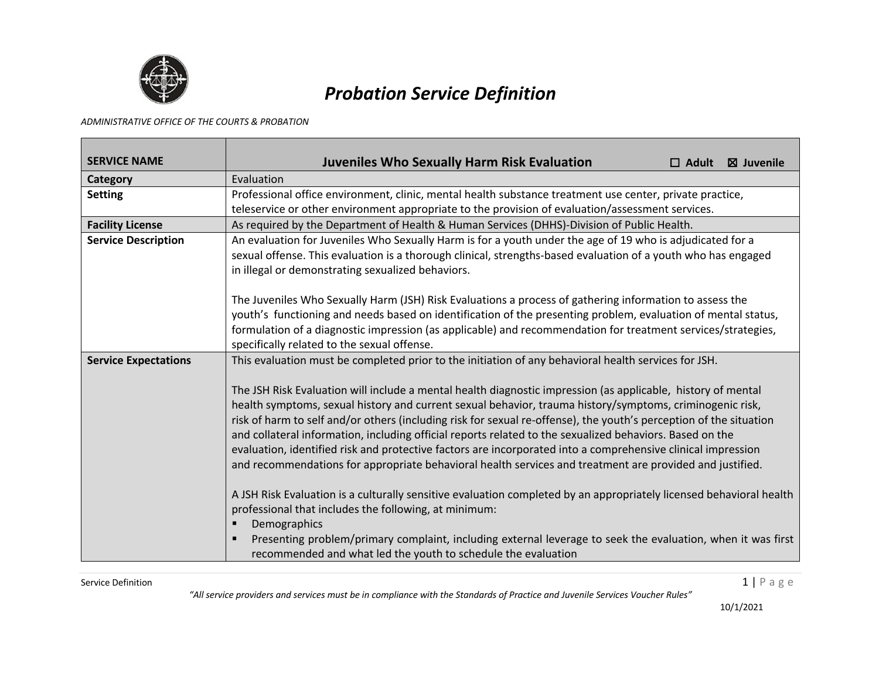

## *Probation Service Definition*

## *ADMINISTRATIVE OFFICE OF THE COURTS & PROBATION*

| <b>SERVICE NAME</b>         | <b>Juveniles Who Sexually Harm Risk Evaluation</b><br>$\boxtimes$ Juvenile<br>$\Box$ Adult                                                                                                                                                                                                                                                                                                                                                                                                                                                                                                                                                                                             |
|-----------------------------|----------------------------------------------------------------------------------------------------------------------------------------------------------------------------------------------------------------------------------------------------------------------------------------------------------------------------------------------------------------------------------------------------------------------------------------------------------------------------------------------------------------------------------------------------------------------------------------------------------------------------------------------------------------------------------------|
| Category                    | Evaluation                                                                                                                                                                                                                                                                                                                                                                                                                                                                                                                                                                                                                                                                             |
| <b>Setting</b>              | Professional office environment, clinic, mental health substance treatment use center, private practice,<br>teleservice or other environment appropriate to the provision of evaluation/assessment services.                                                                                                                                                                                                                                                                                                                                                                                                                                                                           |
| <b>Facility License</b>     | As required by the Department of Health & Human Services (DHHS)-Division of Public Health.                                                                                                                                                                                                                                                                                                                                                                                                                                                                                                                                                                                             |
| <b>Service Description</b>  | An evaluation for Juveniles Who Sexually Harm is for a youth under the age of 19 who is adjudicated for a<br>sexual offense. This evaluation is a thorough clinical, strengths-based evaluation of a youth who has engaged<br>in illegal or demonstrating sexualized behaviors.                                                                                                                                                                                                                                                                                                                                                                                                        |
|                             | The Juveniles Who Sexually Harm (JSH) Risk Evaluations a process of gathering information to assess the<br>youth's functioning and needs based on identification of the presenting problem, evaluation of mental status,<br>formulation of a diagnostic impression (as applicable) and recommendation for treatment services/strategies,<br>specifically related to the sexual offense.                                                                                                                                                                                                                                                                                                |
| <b>Service Expectations</b> | This evaluation must be completed prior to the initiation of any behavioral health services for JSH.                                                                                                                                                                                                                                                                                                                                                                                                                                                                                                                                                                                   |
|                             | The JSH Risk Evaluation will include a mental health diagnostic impression (as applicable, history of mental<br>health symptoms, sexual history and current sexual behavior, trauma history/symptoms, criminogenic risk,<br>risk of harm to self and/or others (including risk for sexual re-offense), the youth's perception of the situation<br>and collateral information, including official reports related to the sexualized behaviors. Based on the<br>evaluation, identified risk and protective factors are incorporated into a comprehensive clinical impression<br>and recommendations for appropriate behavioral health services and treatment are provided and justified. |
|                             | A JSH Risk Evaluation is a culturally sensitive evaluation completed by an appropriately licensed behavioral health<br>professional that includes the following, at minimum:<br>Demographics<br>Presenting problem/primary complaint, including external leverage to seek the evaluation, when it was first<br>٠<br>recommended and what led the youth to schedule the evaluation                                                                                                                                                                                                                                                                                                      |

Service Definition  $1 \mid P$  a g  $e$ 

*"All service providers and services must be in compliance with the Standards of Practice and Juvenile Services Voucher Rules"*

10/1/2021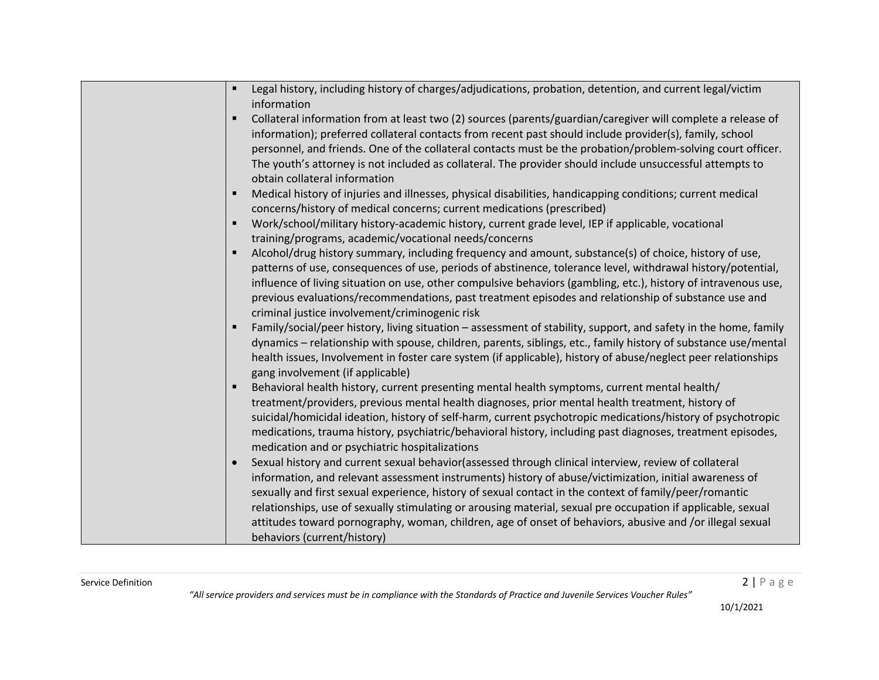| Legal history, including history of charges/adjudications, probation, detention, and current legal/victim<br>information                                                                                                                                                                                                                                                                                                                                                                                                                                                                         |
|--------------------------------------------------------------------------------------------------------------------------------------------------------------------------------------------------------------------------------------------------------------------------------------------------------------------------------------------------------------------------------------------------------------------------------------------------------------------------------------------------------------------------------------------------------------------------------------------------|
| Collateral information from at least two (2) sources (parents/guardian/caregiver will complete a release of<br>information); preferred collateral contacts from recent past should include provider(s), family, school<br>personnel, and friends. One of the collateral contacts must be the probation/problem-solving court officer.<br>The youth's attorney is not included as collateral. The provider should include unsuccessful attempts to<br>obtain collateral information                                                                                                               |
| Medical history of injuries and illnesses, physical disabilities, handicapping conditions; current medical<br>concerns/history of medical concerns; current medications (prescribed)                                                                                                                                                                                                                                                                                                                                                                                                             |
| Work/school/military history-academic history, current grade level, IEP if applicable, vocational<br>training/programs, academic/vocational needs/concerns                                                                                                                                                                                                                                                                                                                                                                                                                                       |
| Alcohol/drug history summary, including frequency and amount, substance(s) of choice, history of use,<br>patterns of use, consequences of use, periods of abstinence, tolerance level, withdrawal history/potential,<br>influence of living situation on use, other compulsive behaviors (gambling, etc.), history of intravenous use,<br>previous evaluations/recommendations, past treatment episodes and relationship of substance use and<br>criminal justice involvement/criminogenic risk                                                                                                  |
| Family/social/peer history, living situation - assessment of stability, support, and safety in the home, family<br>dynamics - relationship with spouse, children, parents, siblings, etc., family history of substance use/mental<br>health issues, Involvement in foster care system (if applicable), history of abuse/neglect peer relationships<br>gang involvement (if applicable)                                                                                                                                                                                                           |
| Behavioral health history, current presenting mental health symptoms, current mental health/<br>treatment/providers, previous mental health diagnoses, prior mental health treatment, history of<br>suicidal/homicidal ideation, history of self-harm, current psychotropic medications/history of psychotropic<br>medications, trauma history, psychiatric/behavioral history, including past diagnoses, treatment episodes,<br>medication and or psychiatric hospitalizations                                                                                                                  |
| Sexual history and current sexual behavior(assessed through clinical interview, review of collateral<br>$\bullet$<br>information, and relevant assessment instruments) history of abuse/victimization, initial awareness of<br>sexually and first sexual experience, history of sexual contact in the context of family/peer/romantic<br>relationships, use of sexually stimulating or arousing material, sexual pre occupation if applicable, sexual<br>attitudes toward pornography, woman, children, age of onset of behaviors, abusive and /or illegal sexual<br>behaviors (current/history) |

*"All service providers and services must be in compliance with the Standards of Practice and Juvenile Services Voucher Rules"*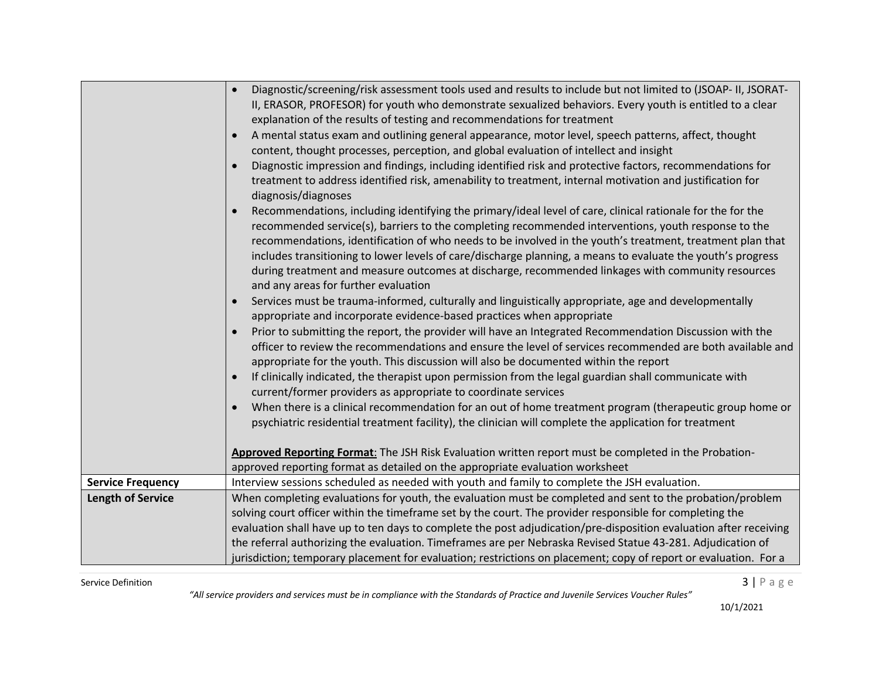|                          | Diagnostic/screening/risk assessment tools used and results to include but not limited to (JSOAP- II, JSORAT-<br>$\bullet$<br>II, ERASOR, PROFESOR) for youth who demonstrate sexualized behaviors. Every youth is entitled to a clear<br>explanation of the results of testing and recommendations for treatment<br>A mental status exam and outlining general appearance, motor level, speech patterns, affect, thought<br>content, thought processes, perception, and global evaluation of intellect and insight<br>Diagnostic impression and findings, including identified risk and protective factors, recommendations for<br>treatment to address identified risk, amenability to treatment, internal motivation and justification for<br>diagnosis/diagnoses<br>Recommendations, including identifying the primary/ideal level of care, clinical rationale for the for the<br>recommended service(s), barriers to the completing recommended interventions, youth response to the<br>recommendations, identification of who needs to be involved in the youth's treatment, treatment plan that<br>includes transitioning to lower levels of care/discharge planning, a means to evaluate the youth's progress<br>during treatment and measure outcomes at discharge, recommended linkages with community resources<br>and any areas for further evaluation<br>Services must be trauma-informed, culturally and linguistically appropriate, age and developmentally<br>appropriate and incorporate evidence-based practices when appropriate<br>Prior to submitting the report, the provider will have an Integrated Recommendation Discussion with the<br>officer to review the recommendations and ensure the level of services recommended are both available and<br>appropriate for the youth. This discussion will also be documented within the report<br>If clinically indicated, the therapist upon permission from the legal guardian shall communicate with<br>current/former providers as appropriate to coordinate services<br>When there is a clinical recommendation for an out of home treatment program (therapeutic group home or<br>psychiatric residential treatment facility), the clinician will complete the application for treatment<br>Approved Reporting Format: The JSH Risk Evaluation written report must be completed in the Probation-<br>approved reporting format as detailed on the appropriate evaluation worksheet |
|--------------------------|---------------------------------------------------------------------------------------------------------------------------------------------------------------------------------------------------------------------------------------------------------------------------------------------------------------------------------------------------------------------------------------------------------------------------------------------------------------------------------------------------------------------------------------------------------------------------------------------------------------------------------------------------------------------------------------------------------------------------------------------------------------------------------------------------------------------------------------------------------------------------------------------------------------------------------------------------------------------------------------------------------------------------------------------------------------------------------------------------------------------------------------------------------------------------------------------------------------------------------------------------------------------------------------------------------------------------------------------------------------------------------------------------------------------------------------------------------------------------------------------------------------------------------------------------------------------------------------------------------------------------------------------------------------------------------------------------------------------------------------------------------------------------------------------------------------------------------------------------------------------------------------------------------------------------------------------------------------------------------------------------------------------------------------------------------------------------------------------------------------------------------------------------------------------------------------------------------------------------------------------------------------------------------------------------------------------------------------------------------------------------------------------------------------------------------------------------------------|
| <b>Service Frequency</b> | Interview sessions scheduled as needed with youth and family to complete the JSH evaluation.                                                                                                                                                                                                                                                                                                                                                                                                                                                                                                                                                                                                                                                                                                                                                                                                                                                                                                                                                                                                                                                                                                                                                                                                                                                                                                                                                                                                                                                                                                                                                                                                                                                                                                                                                                                                                                                                                                                                                                                                                                                                                                                                                                                                                                                                                                                                                                  |
| <b>Length of Service</b> | When completing evaluations for youth, the evaluation must be completed and sent to the probation/problem<br>solving court officer within the timeframe set by the court. The provider responsible for completing the<br>evaluation shall have up to ten days to complete the post adjudication/pre-disposition evaluation after receiving<br>the referral authorizing the evaluation. Timeframes are per Nebraska Revised Statue 43-281. Adjudication of<br>jurisdiction; temporary placement for evaluation; restrictions on placement; copy of report or evaluation. For a                                                                                                                                                                                                                                                                                                                                                                                                                                                                                                                                                                                                                                                                                                                                                                                                                                                                                                                                                                                                                                                                                                                                                                                                                                                                                                                                                                                                                                                                                                                                                                                                                                                                                                                                                                                                                                                                                 |

Service Definition  $3 | P a g e$ 

*"All service providers and services must be in compliance with the Standards of Practice and Juvenile Services Voucher Rules"*

10/1/2021